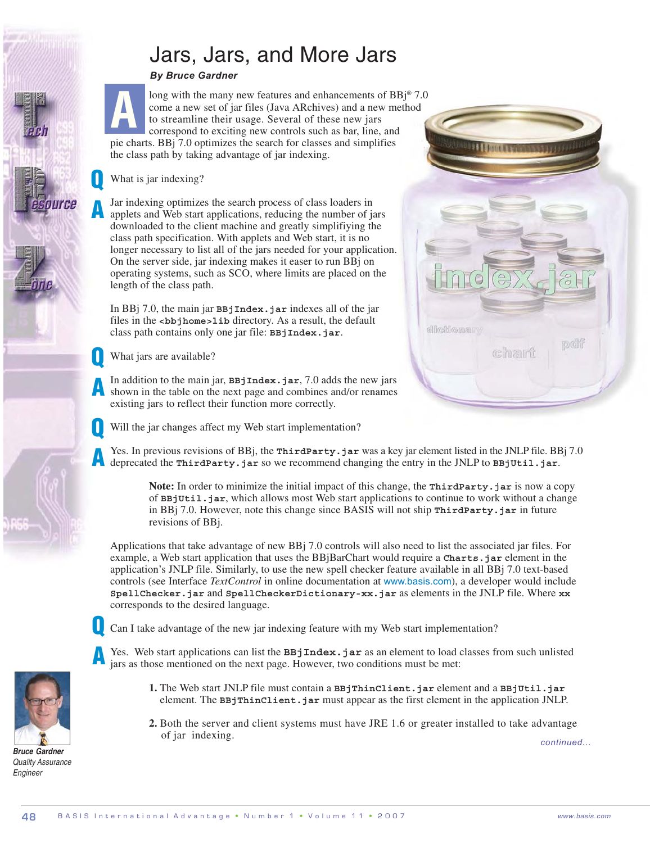## Jars, Jars, and More Jars

## *By Bruce Gardner*

**A**

Q

A

ource

Q

A

long with the many new features and enhancements of BBi<sup>®</sup> 7.0 come a new set of jar files (Java ARchives) and a new method to streamline their usage. Several of these new jars correspond to exciting new controls such as bar, line, and pie charts. BBj 7.0 optimizes the search for classes and simplifies the class path by taking advantage of jar indexing.

## What is jar indexing?

Jar indexing optimizes the search process of class loaders in applets and Web start applications, reducing the number of jars downloaded to the client machine and greatly simplifiying the class path specification. With applets and Web start, it is no longer necessary to list all of the jars needed for your application. On the server side, jar indexing makes it easer to run BBj on operating systems, such as SCO, where limits are placed on the length of the class path.

In BBj 7.0, the main jar **BBjIndex.jar** indexes all of the jar files in the *s***bb**jhome>lib directory. As a result, the default class path contains only one jar file: **BBjIndex.jar**.

What jars are available?

In addition to the main jar, **BBjIndex.jar**, 7.0 adds the new jars shown in the table on the next page and combines and/or renames existing jars to reflect their function more correctly. A



Will the jar changes affect my Web start implementation? Q

Yes. In previous revisions of BBj, the **ThirdParty**.jar was a key jar element listed in the JNLP file. BBj 7.0 deprecated the **ThirdParty.jar** so we recommend changing the entry in the JNLP to **BBjUtil.jar**.

**Note:** In order to minimize the initial impact of this change, the **ThirdParty.jar** is now a copy of **BBjUtil.jar**, which allows most Web start applications to continue to work without a change in BBj 7.0. However, note this change since BASIS will not ship **ThirdParty.jar** in future revisions of BBj.

Applications that take advantage of new BBj 7.0 controls will also need to list the associated jar files. For example, a Web start application that uses the BBjBarChart would require a **Charts.jar** element in the application's JNLP file. Similarly, to use the new spell checker feature available in all BBj 7.0 text-based controls (see Interface *TextControl* in online documentation at www.basis.com), a developer would include **SpellChecker.jar** and **SpellCheckerDictionary-xx.jar** as elements in the JNLP file. Where **xx** corresponds to the desired language.



Can I take advantage of the new jar indexing feature with my Web start implementation?

- Yes. Web start applications can list the **BBjIndex**.jar as an element to load classes from such unlisted jars as those mentioned on the next page. However, two conditions must be met: A
	- **1.** The Web start JNLP file must contain a **BBjThinClient.jar** element and a **BBjUtil.jar** element. The **BBjThinClient.jar** must appear as the first element in the application JNLP.
	- **2.** Both the server and client systems must have JRE 1.6 or greater installed to take advantage of jar indexing.

*continued...*



System Administration Development Tools DBMS Language/Interpreter Partnership

*Bruce Gardner Quality Assurance Engineer*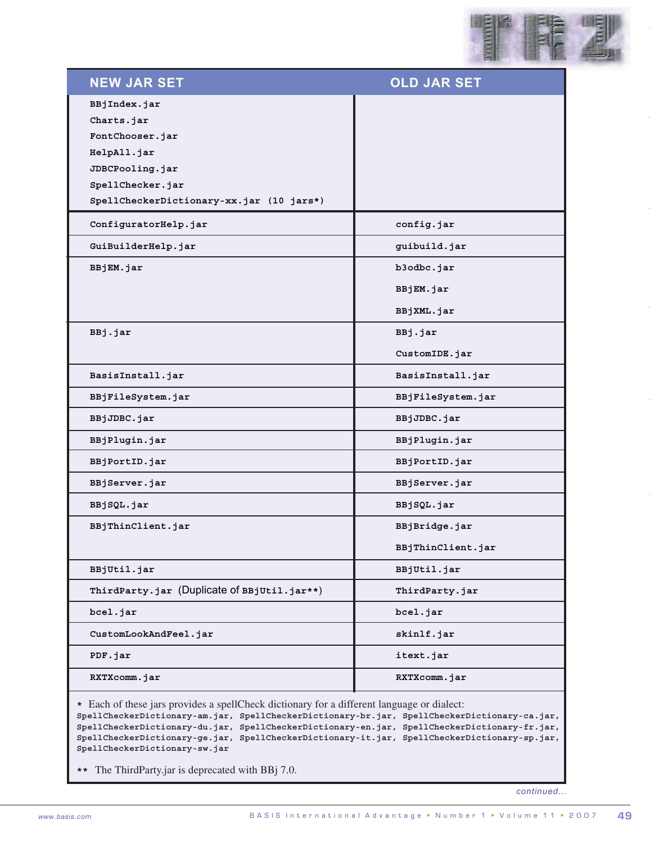

| <b>NEW JAR SET</b>                                                                                                                                                                                                                                                                                                                                                                                                          | <b>OLD JAR SET</b> |
|-----------------------------------------------------------------------------------------------------------------------------------------------------------------------------------------------------------------------------------------------------------------------------------------------------------------------------------------------------------------------------------------------------------------------------|--------------------|
| BBjIndex.jar                                                                                                                                                                                                                                                                                                                                                                                                                |                    |
| Charts.jar                                                                                                                                                                                                                                                                                                                                                                                                                  |                    |
| FontChooser.jar                                                                                                                                                                                                                                                                                                                                                                                                             |                    |
| HelpAll.jar                                                                                                                                                                                                                                                                                                                                                                                                                 |                    |
| JDBCPooling.jar                                                                                                                                                                                                                                                                                                                                                                                                             |                    |
| SpellChecker.jar                                                                                                                                                                                                                                                                                                                                                                                                            |                    |
| SpellCheckerDictionary-xx.jar (10 jars*)                                                                                                                                                                                                                                                                                                                                                                                    |                    |
| ConfiguratorHelp.jar                                                                                                                                                                                                                                                                                                                                                                                                        | config.jar         |
| GuiBuilderHelp.jar                                                                                                                                                                                                                                                                                                                                                                                                          | guibuild.jar       |
| BBjEM.jar                                                                                                                                                                                                                                                                                                                                                                                                                   | b3odbc.jar         |
|                                                                                                                                                                                                                                                                                                                                                                                                                             | BBjEM.jar          |
|                                                                                                                                                                                                                                                                                                                                                                                                                             | BBjXML.jar         |
| BBj.jar                                                                                                                                                                                                                                                                                                                                                                                                                     | BBj.jar            |
|                                                                                                                                                                                                                                                                                                                                                                                                                             | CustomIDE.jar      |
| BasisInstall.jar                                                                                                                                                                                                                                                                                                                                                                                                            | BasisInstall.jar   |
| BBjFileSystem.jar                                                                                                                                                                                                                                                                                                                                                                                                           | BBjFileSystem.jar  |
| BBjJDBC.jar                                                                                                                                                                                                                                                                                                                                                                                                                 | BBjJDBC.jar        |
| BBjPlugin.jar                                                                                                                                                                                                                                                                                                                                                                                                               | BBjPlugin.jar      |
| BBjPortID.jar                                                                                                                                                                                                                                                                                                                                                                                                               | BBjPortID.jar      |
| BBjServer.jar                                                                                                                                                                                                                                                                                                                                                                                                               | BBjServer.jar      |
| BBjSQL.jar                                                                                                                                                                                                                                                                                                                                                                                                                  | BBjSQL.jar         |
| BBjThinClient.jar                                                                                                                                                                                                                                                                                                                                                                                                           | BBjBridge.jar      |
|                                                                                                                                                                                                                                                                                                                                                                                                                             | BBjThinClient.jar  |
| BBjUtil.jar                                                                                                                                                                                                                                                                                                                                                                                                                 | BBjUtil.jar        |
| ThirdParty.jar (Duplicate of BBjUtil.jar**)                                                                                                                                                                                                                                                                                                                                                                                 | ThirdParty.jar     |
| bcel.jar                                                                                                                                                                                                                                                                                                                                                                                                                    | bcel.jar           |
| CustomLookAndFeel.jar                                                                                                                                                                                                                                                                                                                                                                                                       | skinlf.jar         |
| PDF.jar                                                                                                                                                                                                                                                                                                                                                                                                                     | itext.jar          |
| RXTXcomm.jar                                                                                                                                                                                                                                                                                                                                                                                                                | RXTXcomm.jar       |
| * Each of these jars provides a spellCheck dictionary for a different language or dialect:<br>SpellCheckerDictionary-am.jar, SpellCheckerDictionary-br.jar, SpellCheckerDictionary-ca.jar,<br>SpellCheckerDictionary-du.jar, SpellCheckerDictionary-en.jar, SpellCheckerDictionary-fr.jar,<br>SpellCheckerDictionary-ge.jar, SpellCheckerDictionary-it.jar, SpellCheckerDictionary-sp.jar,<br>SpellCheckerDictionary-sw.jar |                    |
| ** The ThirdParty.jar is deprecated with BBj 7.0.                                                                                                                                                                                                                                                                                                                                                                           |                    |
|                                                                                                                                                                                                                                                                                                                                                                                                                             | continued          |